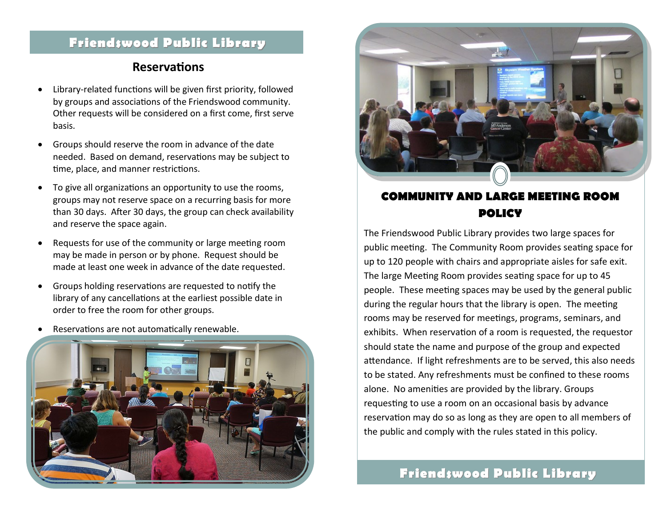# **Friendswood Public Library**

#### **Reservations**

- Library-related functions will be given first priority, followed by groups and associations of the Friendswood community. Other requests will be considered on a first come, first serve basis.
- Groups should reserve the room in advance of the date needed. Based on demand, reservations may be subject to time, place, and manner restrictions.
- To give all organizations an opportunity to use the rooms, groups may not reserve space on a recurring basis for more than 30 days. After 30 days, the group can check availability and reserve the space again.
- Requests for use of the community or large meeting room may be made in person or by phone. Request should be made at least one week in advance of the date requested.
- Groups holding reservations are requested to notify the library of any cancellations at the earliest possible date in order to free the room for other groups.
- Reservations are not automatically renewable.





### **COMMUNITY AND LARGE MEETING ROOM POLICY**

The Friendswood Public Library provides two large spaces for public meeting. The Community Room provides seating space for up to 120 people with chairs and appropriate aisles for safe exit. The large Meeting Room provides seating space for up to 45 people. These meeting spaces may be used by the general public during the regular hours that the library is open. The meeting rooms may be reserved for meetings, programs, seminars, and exhibits. When reservation of a room is requested, the requestor should state the name and purpose of the group and expected attendance. If light refreshments are to be served, this also needs to be stated. Any refreshments must be confined to these rooms alone. No amenities are provided by the library. Groups requesting to use a room on an occasional basis by advance reservation may do so as long as they are open to all members of the public and comply with the rules stated in this policy.

## **Friendswood Public Library**